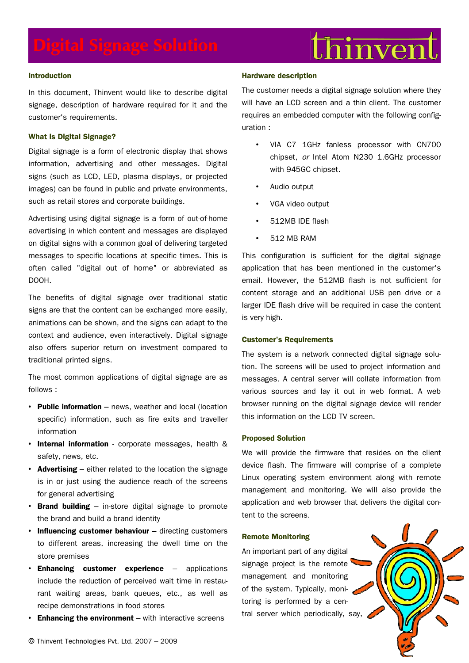# $\mathrm{thi}$ nven

# **Introduction**

In this document, Thinvent would like to describe digital signage, description of hardware required for it and the customer's requirements.

# **What is Digital Signage?**

Digital signage is a form of electronic display that shows information, advertising and other messages. Digital signs (such as LCD, LED, plasma displays, or projected images) can be found in public and private environments, such as retail stores and corporate buildings.

Advertising using digital signage is a form of out-of-home advertising in which content and messages are displayed on digital signs with a common goal of delivering targeted messages to specific locations at specific times. This is often called "digital out of home" or abbreviated as DOOH.

The benefits of digital signage over traditional static signs are that the content can be exchanged more easily, animations can be shown, and the signs can adapt to the context and audience, even interactively. Digital signage also offers superior return on investment compared to traditional printed signs.

The most common applications of digital signage are as follows :

- **Public information** news, weather and local (location specific) information, such as fire exits and traveller information
- **Internal information** corporate messages, health & safety, news, etc.
- **Advertising** either related to the location the signage is in or just using the audience reach of the screens for general advertising
- **Brand building** in-store digital signage to promote the brand and build a brand identity
- **Influencing customer behaviour** directing customers to different areas, increasing the dwell time on the store premises
- **Enhancing customer experience** applications include the reduction of perceived wait time in restaurant waiting areas, bank queues, etc., as well as recipe demonstrations in food stores
- **Enhancing the environment** with interactive screens

## **Hardware description**

The customer needs a digital signage solution where they will have an LCD screen and a thin client. The customer requires an embedded computer with the following configuration :

- VIA C7 1GHz fanless processor with CN700 chipset, or Intel Atom N230 1.6GHz processor with 945GC chipset.
- Audio output
- VGA video output
- 512MB IDE flash
- 512 MB RAM

This configuration is sufficient for the digital signage application that has been mentioned in the customer's email. However, the 512MB flash is not sufficient for content storage and an additional USB pen drive or a larger IDE flash drive will be required in case the content is very high.

# **Customer's Requirements**

The system is a network connected digital signage solution. The screens will be used to project information and messages. A central server will collate information from various sources and lay it out in web format. A web browser running on the digital signage device will render this information on the LCD TV screen.

## **Proposed Solution**

We will provide the firmware that resides on the client device flash. The firmware will comprise of a complete Linux operating system environment along with remote management and monitoring. We will also provide the application and web browser that delivers the digital content to the screens.

### **Remote Monitoring**

An important part of any digital signage project is the remote management and monitoring of the system. Typically, monitoring is performed by a central server which periodically, say,